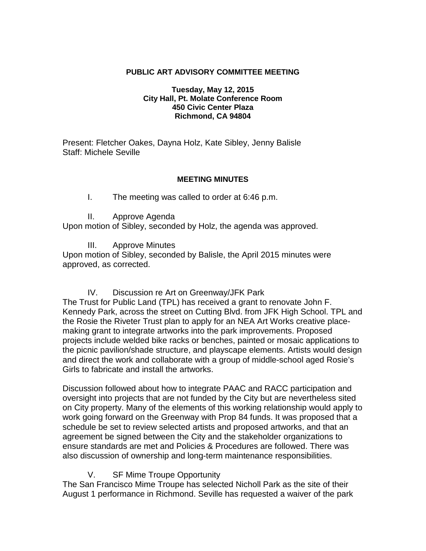#### **PUBLIC ART ADVISORY COMMITTEE MEETING**

#### **Tuesday, May 12, 2015 City Hall, Pt. Molate Conference Room 450 Civic Center Plaza Richmond, CA 94804**

Present: Fletcher Oakes, Dayna Holz, Kate Sibley, Jenny Balisle Staff: Michele Seville

#### **MEETING MINUTES**

#### I. The meeting was called to order at 6:46 p.m.

II. Approve Agenda

Upon motion of Sibley, seconded by Holz, the agenda was approved.

III. Approve Minutes

Upon motion of Sibley, seconded by Balisle, the April 2015 minutes were approved, as corrected.

### IV. Discussion re Art on Greenway/JFK Park

The Trust for Public Land (TPL) has received a grant to renovate John F. Kennedy Park, across the street on Cutting Blvd. from JFK High School. TPL and the Rosie the Riveter Trust plan to apply for an NEA Art Works creative placemaking grant to integrate artworks into the park improvements. Proposed projects include welded bike racks or benches, painted or mosaic applications to the picnic pavilion/shade structure, and playscape elements. Artists would design and direct the work and collaborate with a group of middle-school aged Rosie's Girls to fabricate and install the artworks.

Discussion followed about how to integrate PAAC and RACC participation and oversight into projects that are not funded by the City but are nevertheless sited on City property. Many of the elements of this working relationship would apply to work going forward on the Greenway with Prop 84 funds. It was proposed that a schedule be set to review selected artists and proposed artworks, and that an agreement be signed between the City and the stakeholder organizations to ensure standards are met and Policies & Procedures are followed. There was also discussion of ownership and long-term maintenance responsibilities.

### V. SF Mime Troupe Opportunity

The San Francisco Mime Troupe has selected Nicholl Park as the site of their August 1 performance in Richmond. Seville has requested a waiver of the park